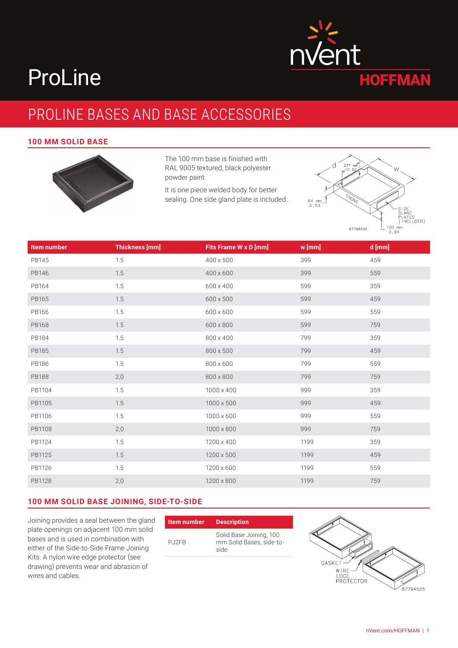# ProLine

# PROLINE BASES AND BASE ACCESSORIES

#### **100 MM SOLID BASE**



The 100 mm base is finished with RAL 9005 textured, black polyester powder paint.

It is one piece welded body for better sealing. One side gland plate is included.



| Item number  | <b>Thickness [mm]</b> | <b>Fits Frame W x D [mm]</b> | w [mm] | d [mm] |
|--------------|-----------------------|------------------------------|--------|--------|
| PB145        | 1.5                   | 400 x 500                    | 399    | 459    |
| PB146        | $1.5\,$               | 400 x 600                    | 399    | 559    |
| PB164        | 1.5                   | 600 x 400                    | 599    | 359    |
| PB165        | $1.5\,$               | 600 x 500                    | 599    | 459    |
| PB166        | 1.5                   | 600 x 600                    | 599    | 559    |
| PB168        | $1.5\,$               | 600 x 800                    | 599    | 759    |
| PB184        | 1.5                   | 800 x 400                    | 799    | 359    |
| PB185        | $1.5\,$               | $800\times500$               | 799    | 459    |
| PB186        | 1.5                   | 800 x 600                    | 799    | 559    |
| <b>PB188</b> | 2,0                   | $800\times800$               | 799    | 759    |
| PB1104       | 1.5                   | 1000 x 400                   | 999    | 359    |
| PB1105       | $1.5\,$               | $1000 \times 500$            | 999    | 459    |
| PB1106       | 1.5                   | 1000 x 600                   | 999    | 559    |
| PB1108       | 2,0                   | $1000\times800$              | 999    | 759    |
| PB1124       | 1.5                   | 1200 x 400                   | 1199   | 359    |
| PB1125       | 1.5                   | 1200 x 500                   | 1199   | 459    |
| PB1126       | 1.5                   | 1200 x 600                   | 1199   | 559    |
| PB1128       | 2,0                   | 1200 x 800                   | 1199   | 759    |

#### **100 MM SOLID BASE JOINING, SIDE-TO-SIDE**

Joining provides a seal between the gland plate openings on adjacent 100 mm solid bases and is used in combination with either of the Side-to-Side Frame Joining Kits. A nylon wire edge protector (see drawing) prevents wear and abrasion of wires and cables.

| Item number | <b>Description</b>                                          |
|-------------|-------------------------------------------------------------|
| P.J2FB      | Solid Base Joining, 100<br>mm Solid Bases, side-to-<br>side |

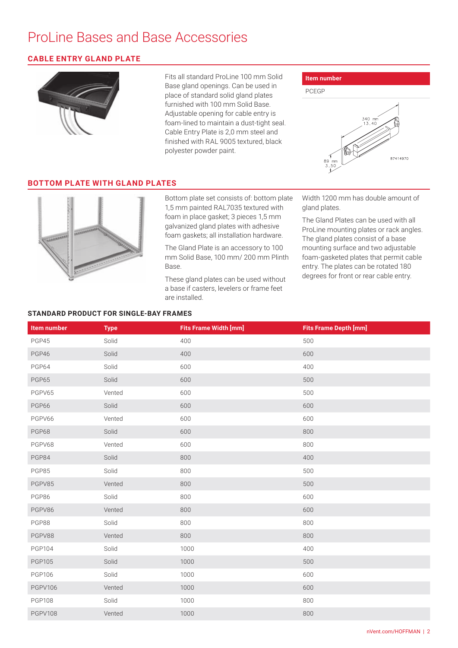#### **CABLE ENTRY GLAND PLATE**



Fits all standard ProLine 100 mm Solid Base gland openings. Can be used in place of standard solid gland plates furnished with 100 mm Solid Base. Adjustable opening for cable entry is foam-lined to maintain a dust-tight seal. Cable Entry Plate is 2,0 mm steel and finished with RAL 9005 textured, black polyester powder paint.



#### **BOTTOM PLATE WITH GLAND PLATES**



Bottom plate set consists of: bottom plate 1,5 mm painted RAL7035 textured with foam in place gasket; 3 pieces 1,5 mm galvanized gland plates with adhesive foam gaskets; all installation hardware.

The Gland Plate is an accessory to 100 mm Solid Base, 100 mm/ 200 mm Plinth Base.

These gland plates can be used without a base if casters, levelers or frame feet are installed.

Width 1200 mm has double amount of gland plates.

The Gland Plates can be used with all ProLine mounting plates or rack angles. The gland plates consist of a base mounting surface and two adjustable foam-gasketed plates that permit cable entry. The plates can be rotated 180 degrees for front or rear cable entry.

#### **STANDARD PRODUCT FOR SINGLE-BAY FRAMES**

| <b>Item number</b> | <b>Type</b> | <b>Fits Frame Width [mm]</b> | <b>Fits Frame Depth [mm]</b> |
|--------------------|-------------|------------------------------|------------------------------|
| PGP45              | Solid       | 400                          | 500                          |
| PGP46              | Solid       | 400                          | 600                          |
| PGP64              | Solid       | 600                          | 400                          |
| PGP65              | Solid       | 600                          | 500                          |
| PGPV65             | Vented      | 600                          | 500                          |
| PGP66              | Solid       | 600                          | 600                          |
| PGPV66             | Vented      | 600                          | 600                          |
| PGP68              | Solid       | 600                          | 800                          |
| PGPV68             | Vented      | 600                          | 800                          |
| PGP84              | Solid       | 800                          | 400                          |
| PGP85              | Solid       | 800                          | 500                          |
| PGPV85             | Vented      | 800                          | 500                          |
| PGP86              | Solid       | 800                          | 600                          |
| PGPV86             | Vented      | 800                          | 600                          |
| PGP88              | Solid       | 800                          | 800                          |
| PGPV88             | Vented      | 800                          | 800                          |
| <b>PGP104</b>      | Solid       | 1000                         | 400                          |
| <b>PGP105</b>      | Solid       | 1000                         | 500                          |
| <b>PGP106</b>      | Solid       | 1000                         | 600                          |
| <b>PGPV106</b>     | Vented      | 1000                         | 600                          |
| <b>PGP108</b>      | Solid       | 1000                         | 800                          |
| <b>PGPV108</b>     | Vented      | 1000                         | 800                          |
|                    |             |                              |                              |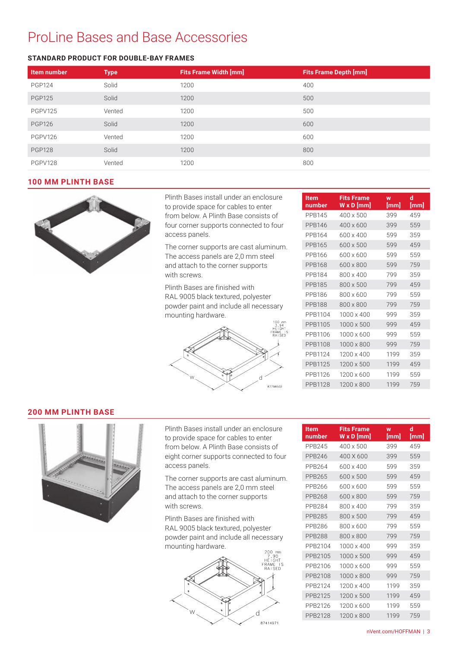#### **STANDARD PRODUCT FOR DOUBLE-BAY FRAMES**

| <b>Item number</b> | <b>Type</b> | <b>Fits Frame Width [mm]</b> | <b>Fits Frame Depth [mm]</b> |
|--------------------|-------------|------------------------------|------------------------------|
| <b>PGP124</b>      | Solid       | 1200                         | 400                          |
| <b>PGP125</b>      | Solid       | 1200                         | 500                          |
| <b>PGPV125</b>     | Vented      | 1200                         | 500                          |
| <b>PGP126</b>      | Solid       | 1200                         | 600                          |
| PGPV126            | Vented      | 1200                         | 600                          |
| <b>PGP128</b>      | Solid       | 1200                         | 800                          |
| PGPV128            | Vented      | 1200                         | 800                          |

#### **100 MM PLINTH BASE**



Plinth Bases install under an enclosure to provide space for cables to enter from below. A Plinth Base consists of four corner supports connected to four access panels.

The corner supports are cast aluminum. The access panels are 2,0 mm steel and attach to the corner supports with screws.

Plinth Bases are finished with RAL 9005 black textured, polyester powder paint and include all necessary mounting hardware.



| Item<br>number | <b>Fits Frame</b><br>$W \times D$ [mm] | W<br>[mm] | d<br>[mm] |
|----------------|----------------------------------------|-----------|-----------|
| PPB145         | $400 \times 500$                       | 399       | 459       |
| <b>PPB146</b>  | $400 \times 600$                       | 399       | 559       |
| PPR164         | 600 x 400                              | 599       | 359       |
| PPB165         | 600 x 500                              | 599       | 459       |
| PPR166         | 600 x 600                              | 599       | 559       |
| PPB168         | 600 x 800                              | 599       | 759       |
| PPB184         | 800 x 400                              | 799       | 359       |
| <b>PPB185</b>  | 800 x 500                              | 799       | 459       |
| PPB186         | 800 x 600                              | 799       | 559       |
| <b>PPB188</b>  | 800 x 800                              | 799       | 759       |
| PPR1104        | 1000 x 400                             | 999       | 359       |
| PPB1105        | 1000 x 500                             | 999       | 459       |
| PPB1106        | 1000 x 600                             | 999       | 559       |
| PPB1108        | 1000 x 800                             | 999       | 759       |
| PPB1124        | 1200 x 400                             | 1199      | 359       |
| PPB1125        | 1200 x 500                             | 1199      | 459       |
| PPB1126        | 1200 x 600                             | 1199      | 559       |
| PPB1128        | 1200 x 800                             | 1199      | 759       |

#### **200 MM PLINTH BASE**



Plinth Bases install under an enclosure to provide space for cables to enter from below. A Plinth Base consists of eight corner supports connected to four access panels.

The corner supports are cast aluminum. The access panels are 2,0 mm steel and attach to the corner supports with screws.

Plinth Bases are finished with RAL 9005 black textured, polyester powder paint and include all necessary mounting hardware.



| ltem<br>number | <b>Fits Frame</b><br>$W \times D$ [mm] | W<br>[mm] | d<br>[mm] |
|----------------|----------------------------------------|-----------|-----------|
| PPB245         | $400 \times 500$                       | 399       | 459       |
| PPB246         | 400 X 600                              | 399       | 559       |
| PPB264         | 600 x 400                              | 599       | 359       |
| PPB265         | 600 x 500                              | 599       | 459       |
| PPB266         | 600 x 600                              | 599       | 559       |
| PPB268         | 600 x 800                              | 599       | 759       |
| PPB284         | 800 x 400                              | 799       | 359       |
| PPB285         | 800 x 500                              | 799       | 459       |
| PPB286         | 800 x 600                              | 799       | 559       |
| <b>PPB288</b>  | 800 x 800                              | 799       | 759       |
| PPB2104        | 1000 x 400                             | 999       | 359       |
| PPB2105        | 1000 x 500                             | 999       | 459       |
| PPB2106        | 1000 x 600                             | 999       | 559       |
| PPB2108        | 1000 x 800                             | 999       | 759       |
| PPB2124        | 1200 x 400                             | 1199      | 359       |
| PPB2125        | 1200 x 500                             | 1199      | 459       |
| PPB2126        | 1200 x 600                             | 1199      | 559       |
| PPB2128        | 1200 x 800                             | 1199      | 759       |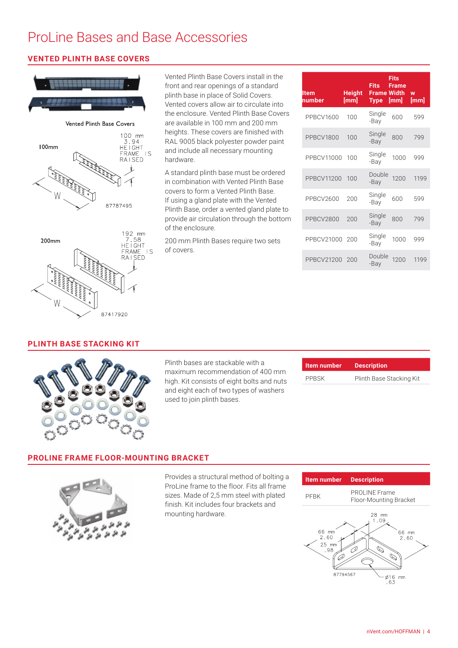#### **VENTED PLINTH BASE COVERS**



Vented Plinth Base Covers install in the front and rear openings of a standard plinth base in place of Solid Covers. Vented covers allow air to circulate into the enclosure. Vented Plinth Base Covers are available in 100 mm and 200 mm heights. These covers are finished with RAL 9005 black polyester powder paint and include all necessary mounting hardware.

A standard plinth base must be ordered in combination with Vented Plinth Base covers to form a Vented Plinth Base. If using a gland plate with the Vented Plinth Base, order a vented gland plate to provide air circulation through the bottom of the enclosure.

200 mm Plinth Bases require two sets of covers.

| ltem<br>number   | <b>Height</b><br>[mm] | <b>Fits</b><br><b>Frame Width</b><br><b>Type</b> | <b>Fits</b><br><b>Frame</b><br>[mm] | W<br>[mm] |
|------------------|-----------------------|--------------------------------------------------|-------------------------------------|-----------|
| PPBCV1600        | 100                   | Single<br>-Bay                                   | 600                                 | 599       |
| PPBCV1800        | 100                   | Single<br>-Bay                                   | 800                                 | 799       |
| PPBCV11000       | 100                   | Single<br>-Bay                                   | 1000                                | 999       |
| PPBCV11200       | 100                   | Double<br>-Bay                                   | 1200                                | 1199      |
| PPBCV2600        | 200                   | Single<br>-Bay                                   | 600                                 | 599       |
| <b>PPBCV2800</b> | 200                   | Single<br>-Bay                                   | 800                                 | 799       |
| PPBCV21000       | 200                   | Single<br>-Bay                                   | 1000                                | 999       |
| PPBCV21200       | 200                   | Double<br>-Bay                                   | 1200                                | 1199      |

#### **PLINTH BASE STACKING KIT**



Plinth bases are stackable with a maximum recommendation of 400 mm high. Kit consists of eight bolts and nuts and eight each of two types of washers used to join plinth bases.

| Item number  | <b>Description</b>       |
|--------------|--------------------------|
| <b>PPBSK</b> | Plinth Base Stacking Kit |

#### **PROLINE FRAME FLOOR-MOUNTING BRACKET**



Provides a structural method of bolting a ProLine frame to the floor. Fits all frame sizes. Made of 2,5 mm steel with plated finish. Kit includes four brackets and mounting hardware.